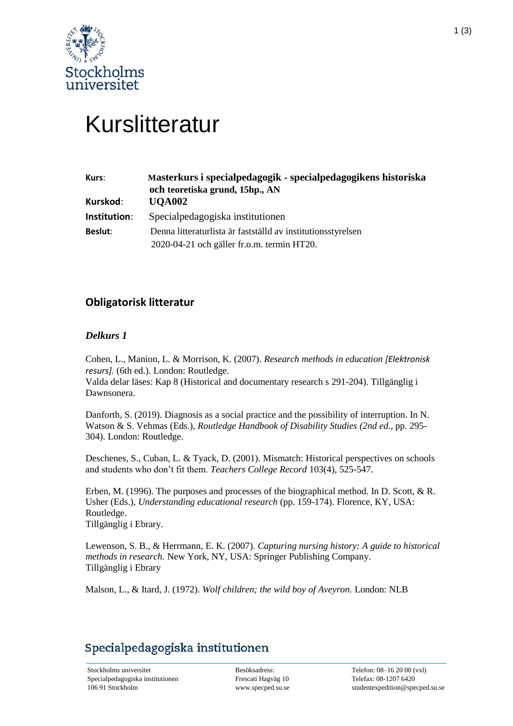

# Kurslitteratur

| Kurs:        | Masterkurs i specialpedagogik - specialpedagogikens historiska<br>och teoretiska grund, 15hp., AN |
|--------------|---------------------------------------------------------------------------------------------------|
| Kurskod:     | <b>UQA002</b>                                                                                     |
| Institution: | Special pedagogiska institutionen                                                                 |
| Beslut:      | Denna litteraturlista är fastställd av institutionsstyrelsen                                      |
|              | 2020-04-21 och gäller fr.o.m. termin HT20.                                                        |

## **Obligatorisk litteratur**

### *Delkurs 1*

Cohen, L., Manion, L. & Morrison, K. (2007). *Research methods in education [Elektronisk resurs].* (6th ed.). London: Routledge.

Valda delar läses: Kap 8 (Historical and documentary research s 291-204). Tillgänglig i Dawnsonera.

Danforth, S. (2019). Diagnosis as a social practice and the possibility of interruption. In N. Watson & S. Vehmas (Eds.), *Routledge Handbook of Disability Studies (2nd ed.,* pp. 295- 304). London: Routledge.

Deschenes, S., Cuban, L. & Tyack, D. (2001). Mismatch: Historical perspectives on schools and students who don't fit them. *Teachers College Record* 103(4), 525-547.

Erben, M. (1996). The purposes and processes of the biographical method. In D. Scott, & R. Usher (Eds.), *Understanding educational research* (pp. 159-174). Florence, KY, USA: Routledge. Tillgänglig i Ebrary.

Lewenson, S. B., & Herrmann, E. K. (2007). *Capturing nursing history: A guide to historical methods in research.* New York, NY, USA: Springer Publishing Company. Tillgänglig i Ebrary

Malson, L., & Itard, J. (1972). *Wolf children; the wild boy of Aveyron.* London: NLB

## Specialpedagogiska institutionen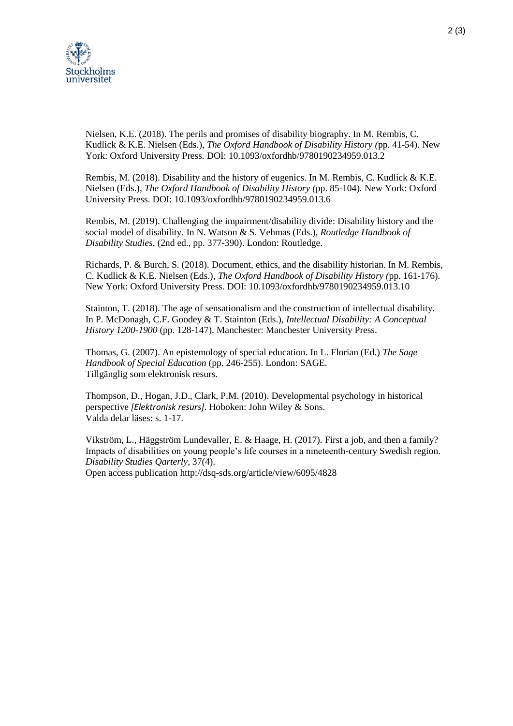

Nielsen, K.E. (2018). The perils and promises of disability biography. In M. Rembis, C. Kudlick & K.E. Nielsen (Eds.), *The Oxford Handbook of Disability History (*pp. 41-54)*.* New York: Oxford University Press. DOI: 10.1093/oxfordhb/9780190234959.013.2

Rembis, M. (2018). Disability and the history of eugenics. In M. Rembis, C. Kudlick & K.E. Nielsen (Eds.), *The Oxford Handbook of Disability History (*pp. 85-104)*.* New York: Oxford University Press. DOI: 10.1093/oxfordhb/9780190234959.013.6

Rembis, M. (2019). Challenging the impairment/disability divide: Disability history and the social model of disability. In N. Watson & S. Vehmas (Eds.), *Routledge Handbook of Disability Studies*, (2nd ed., pp. 377-390). London: Routledge.

Richards, P. & Burch, S. (2018). Document, ethics, and the disability historian. In M. Rembis, C. Kudlick & K.E. Nielsen (Eds.), *The Oxford Handbook of Disability History (*pp. 161-176)*.* New York: Oxford University Press. DOI: 10.1093/oxfordhb/9780190234959.013.10

Stainton, T. (2018). The age of sensationalism and the construction of intellectual disability. In P. McDonagh, C.F. Goodey & T. Stainton (Eds.), *Intellectual Disability: A Conceptual History 1200-1900* (pp. 128-147). Manchester: Manchester University Press.

Thomas, G. (2007). An epistemology of special education. In L. Florian (Ed.) *The Sage Handbook of Special Education* (pp. 246-255). London: SAGE. Tillgänglig som elektronisk resurs.

Thompson, D., Hogan, J.D., Clark, P.M. (2010). Developmental psychology in historical perspective *[Elektronisk resurs]*. Hoboken: John Wiley & Sons. Valda delar läses: s. 1-17.

Vikström, L., Häggström Lundevaller, E. & Haage, H. (2017). First a job, and then a family? Impacts of disabilities on young people's life courses in a nineteenth-century Swedish region. *Disability Studies Qarterly*, 37(4).

Open access publication<http://dsq-sds.org/article/view/6095/4828>